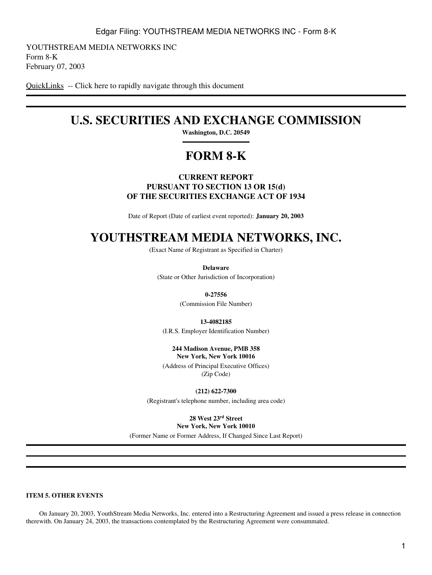YOUTHSTREAM MEDIA NETWORKS INC Form 8-K February 07, 2003

[QuickLinks](#page-2-0) -- Click here to rapidly navigate through this document

## **U.S. SECURITIES AND EXCHANGE COMMISSION**

**Washington, D.C. 20549**

# **FORM 8-K**

#### **CURRENT REPORT PURSUANT TO SECTION 13 OR 15(d) OF THE SECURITIES EXCHANGE ACT OF 1934**

Date of Report (Date of earliest event reported): **January 20, 2003**

# **YOUTHSTREAM MEDIA NETWORKS, INC.**

(Exact Name of Registrant as Specified in Charter)

**Delaware** (State or Other Jurisdiction of Incorporation)

**0-27556**

(Commission File Number)

**13-4082185**

(I.R.S. Employer Identification Number)

**244 Madison Avenue, PMB 358 New York, New York 10016**

(Address of Principal Executive Offices) (Zip Code)

**(212) 622-7300**

(Registrant's telephone number, including area code)

**28 West 23rd Street**

**New York, New York 10010**

(Former Name or Former Address, If Changed Since Last Report)

#### <span id="page-0-0"></span>**ITEM 5. OTHER EVENTS**

 On January 20, 2003, YouthStream Media Networks, Inc. entered into a Restructuring Agreement and issued a press release in connection therewith. On January 24, 2003, the transactions contemplated by the Restructuring Agreement were consummated.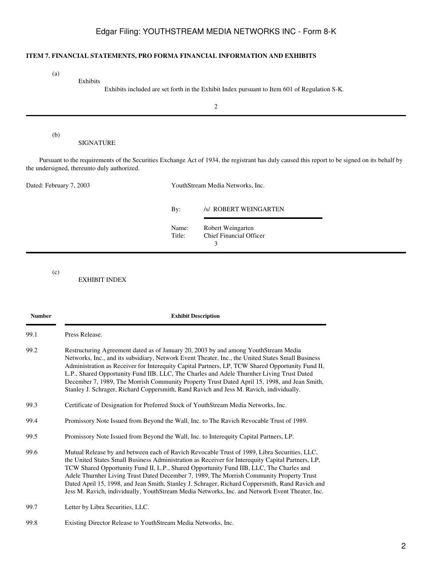### Edgar Filing: YOUTHSTREAM MEDIA NETWORKS INC - Form 8-K

#### <span id="page-1-0"></span>**ITEM 7. FINANCIAL STATEMENTS, PRO FORMA FINANCIAL INFORMATION AND EXHIBITS**

(a)

(b)

Exhibits

Exhibits included are set forth in the Exhibit Index pursuant to Item 601 of Regulation S-K.

2

SIGNATURE

 Pursuant to the requirements of the Securities Exchange Act of 1934, the registrant has duly caused this report to be signed on its behalf by the undersigned, thereunto duly authorized.

| Dated: February 7, 2003 | YouthStream Media Networks, Inc. |                                                          |
|-------------------------|----------------------------------|----------------------------------------------------------|
|                         | By:                              | /s/ ROBERT WEINGARTEN                                    |
|                         | Name:<br>Title:                  | Robert Weingarten<br><b>Chief Financial Officer</b><br>3 |
|                         |                                  |                                                          |

(c)

EXHIBIT INDEX

| <b>Number</b> | <b>Exhibit Description</b><br>Press Release.                                                                                                                                                                                                                                                                                                                                                                                                                                                                                                                                                  |  |
|---------------|-----------------------------------------------------------------------------------------------------------------------------------------------------------------------------------------------------------------------------------------------------------------------------------------------------------------------------------------------------------------------------------------------------------------------------------------------------------------------------------------------------------------------------------------------------------------------------------------------|--|
| 99.1          |                                                                                                                                                                                                                                                                                                                                                                                                                                                                                                                                                                                               |  |
| 99.2          | Restructuring Agreement dated as of January 20, 2003 by and among YouthStream Media<br>Networks, Inc., and its subsidiary, Network Event Theater, Inc., the United States Small Business<br>Administration as Receiver for Interequity Capital Partners, LP, TCW Shared Opportunity Fund II,<br>L.P., Shared Opportunity Fund IIB, LLC, The Charles and Adele Thurnher Living Trust Dated<br>December 7, 1989, The Morrish Community Property Trust Dated April 15, 1998, and Jean Smith,<br>Stanley J. Schrager, Richard Coppersmith, Rand Ravich and Jess M. Ravich, individually.          |  |
| 99.3          | Certificate of Designation for Preferred Stock of YouthStream Media Networks, Inc.                                                                                                                                                                                                                                                                                                                                                                                                                                                                                                            |  |
| 99.4          | Promissory Note Issued from Beyond the Wall, Inc. to The Ravich Revocable Trust of 1989.                                                                                                                                                                                                                                                                                                                                                                                                                                                                                                      |  |
| 99.5          | Promissory Note Issued from Beyond the Wall, Inc. to Interequity Capital Partners, LP.                                                                                                                                                                                                                                                                                                                                                                                                                                                                                                        |  |
| 99.6          | Mutual Release by and between each of Ravich Revocable Trust of 1989, Libra Securities, LLC,<br>the United States Small Business Administration as Receiver for Interequity Capital Partners, LP,<br>TCW Shared Opportunity Fund II, L.P., Shared Opportunity Fund IIB, LLC, The Charles and<br>Adele Thurnher Living Trust Dated December 7, 1989, The Morrish Community Property Trust<br>Dated April 15, 1998, and Jean Smith, Stanley J. Schrager, Richard Coppersmith, Rand Ravich and<br>Jess M. Ravich, individually, YouthStream Media Networks, Inc. and Network Event Theater, Inc. |  |
| 99.7          | Letter by Libra Securities, LLC.                                                                                                                                                                                                                                                                                                                                                                                                                                                                                                                                                              |  |

99.8 Existing Director Release to YouthStream Media Networks, Inc.